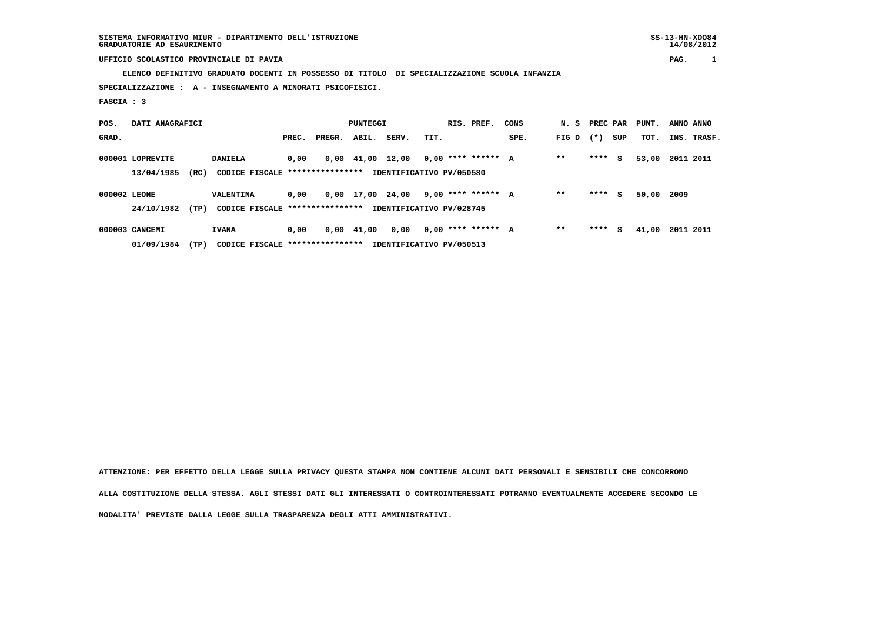14/08/2012

# **UFFICIO SCOLASTICO PROVINCIALE DI PAVIA PAG. 1**

 **ELENCO DEFINITIVO GRADUATO DOCENTI IN POSSESSO DI TITOLO DI SPECIALIZZAZIONE SCUOLA INFANZIA**

 **SPECIALIZZAZIONE : A - INSEGNAMENTO A MINORATI PSICOFISICI.**

 **FASCIA : 3**

| POS.         | DATI ANAGRAFICI  |      |                                  |       |        | PUNTEGGI                       |                          |      | RIS. PREF.           | CONS | N. S PREC PAR |       |     | PUNT. | ANNO ANNO |             |
|--------------|------------------|------|----------------------------------|-------|--------|--------------------------------|--------------------------|------|----------------------|------|---------------|-------|-----|-------|-----------|-------------|
| GRAD.        |                  |      |                                  | PREC. | PREGR. | ABIL.                          | SERV.                    | TIT. |                      | SPE. | FIG D         | $(*)$ | SUP | TOT.  |           | INS. TRASF. |
|              | 000001 LOPREVITE |      | <b>DANIELA</b>                   | 0,00  |        | $0,00 \quad 41,00 \quad 12,00$ |                          |      | $0.00$ **** ****** A |      | $* *$         | ****  | s   | 53,00 | 2011 2011 |             |
|              | 13/04/1985       | (RC) | CODICE FISCALE ****************  |       |        |                                | IDENTIFICATIVO PV/050580 |      |                      |      |               |       |     |       |           |             |
| 000002 LEONE |                  |      | VALENTINA                        | 0.00  |        | 0,00 17,00                     | 24,00                    |      | 9,00 **** ****** A   |      | $* *$         | ****  | s   | 50,00 | 2009      |             |
|              | 24/10/1982       | (TP) | CODICE FISCALE ****************  |       |        |                                | IDENTIFICATIVO PV/028745 |      |                      |      |               |       |     |       |           |             |
|              | 000003 CANCEMI   |      | <b>IVANA</b>                     | 0.00  |        | $0,00$ $41,00$                 | 0,00                     |      | $0.00$ **** ****** A |      | $* *$         | ****  | s   | 41,00 | 2011 2011 |             |
|              | 01/09/1984       | (TP) | CODICE FISCALE ***************** |       |        |                                | IDENTIFICATIVO PV/050513 |      |                      |      |               |       |     |       |           |             |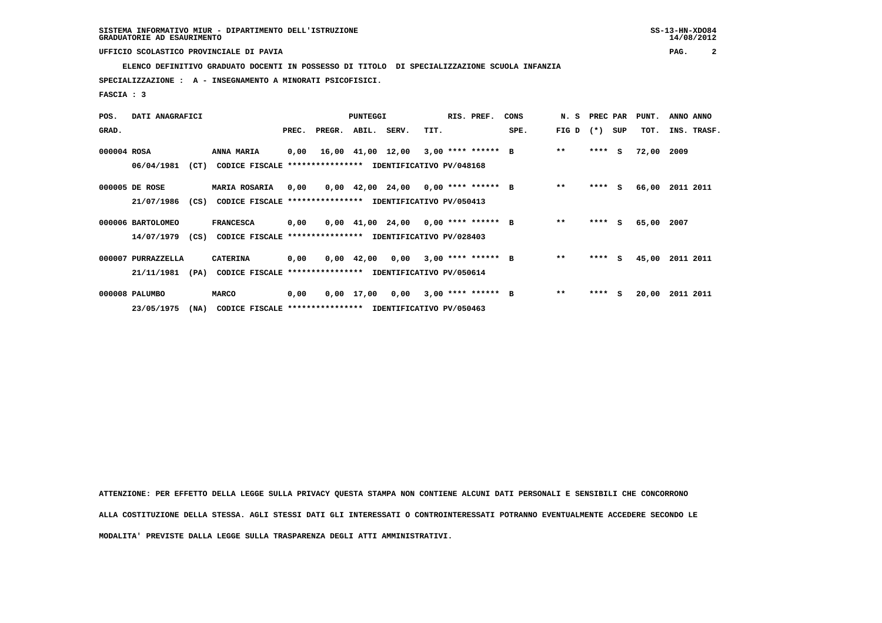### **UFFICIO SCOLASTICO PROVINCIALE DI PAVIA PAG. 2**

 **ELENCO DEFINITIVO GRADUATO DOCENTI IN POSSESSO DI TITOLO DI SPECIALIZZAZIONE SCUOLA INFANZIA**

 **SPECIALIZZAZIONE : A - INSEGNAMENTO A MINORATI PSICOFISICI.**

 **FASCIA : 3**

| POS.        | DATI ANAGRAFICI    |      |                                                               |       |                                                    | <b>PUNTEGGI</b> |                                                                       |      | RIS. PREF. | CONS |       |         |     | N. S PREC PAR PUNT. | ANNO ANNO   |
|-------------|--------------------|------|---------------------------------------------------------------|-------|----------------------------------------------------|-----------------|-----------------------------------------------------------------------|------|------------|------|-------|---------|-----|---------------------|-------------|
| GRAD.       |                    |      |                                                               | PREC. | PREGR.                                             | ABIL.           | SERV.                                                                 | TIT. |            | SPE. | FIG D | $(* )$  | SUP | TOT.                | INS. TRASF. |
| 000004 ROSA |                    |      | ANNA MARIA                                                    | 0,00  |                                                    |                 | 16,00 41,00 12,00 3,00 **** ****** B                                  |      |            |      | $***$ | $***$ S |     | 72,00               | 2009        |
|             | 06/04/1981         | (CT) | CODICE FISCALE                                                |       | *************** IDENTIFICATIVO PV/048168           |                 |                                                                       |      |            |      |       |         |     |                     |             |
|             | 000005 DE ROSE     |      | MARIA ROSARIA                                                 |       | $0,00$ $0,00$ $42,00$ $24,00$ $0,00$ **** ****** B |                 |                                                                       |      |            |      | $***$ | ****    | S.  | 66,00               | 2011 2011   |
|             | 21/07/1986         | (CS) | CODICE FISCALE **************** IDENTIFICATIVO PV/050413      |       |                                                    |                 |                                                                       |      |            |      |       |         |     |                     |             |
|             | 000006 BARTOLOMEO  |      | <b>FRANCESCA</b>                                              | 0,00  |                                                    |                 | $0.00 \quad 41.00 \quad 24.00 \quad 0.00 \quad *** \quad *** \quad B$ |      |            |      | $* *$ | $***$ S |     | 65,00               | 2007        |
|             |                    |      | 14/07/1979 (CS) CODICE FISCALE                                |       | *************** IDENTIFICATIVO PV/028403           |                 |                                                                       |      |            |      |       |         |     |                     |             |
|             | 000007 PURRAZZELLA |      | <b>CATERINA</b>                                               | 0,00  |                                                    |                 | $0,00$ 42,00 0,00 3,00 **** ****** B                                  |      |            |      | $* *$ | ****    | s   | 45,00               | 2011 2011   |
|             | 21/11/1981         | (PA) | CODICE FISCALE **************** IDENTIFICATIVO PV/050614      |       |                                                    |                 |                                                                       |      |            |      |       |         |     |                     |             |
|             | 000008 PALUMBO     |      | <b>MARCO</b>                                                  | 0,00  |                                                    |                 | $0,00$ 17,00 0,00 3,00 **** ****** B                                  |      |            |      | $**$  | $***$ S |     | 20,00               | 2011 2011   |
|             | 23/05/1975         |      | (NA) CODICE FISCALE **************** IDENTIFICATIVO PV/050463 |       |                                                    |                 |                                                                       |      |            |      |       |         |     |                     |             |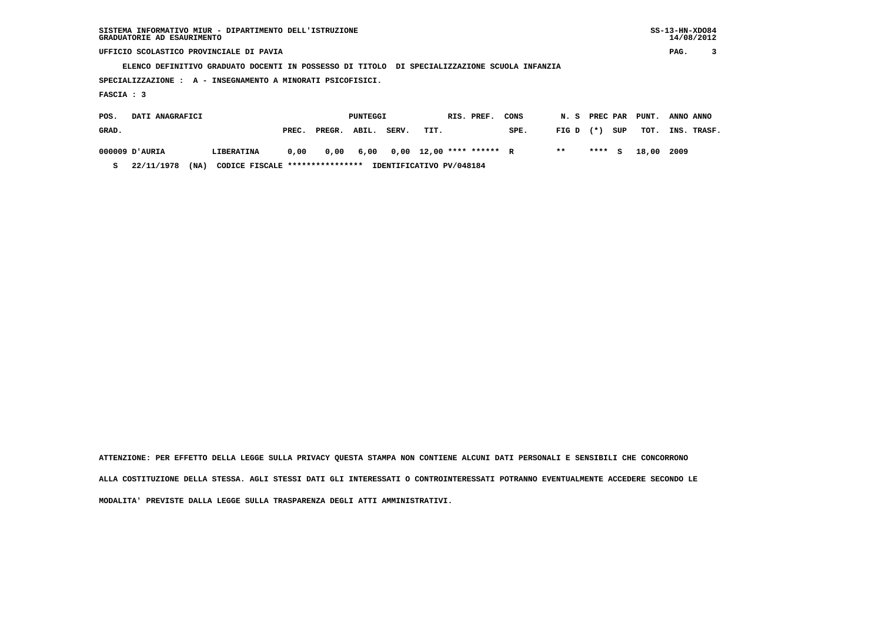| SISTEMA INFORMATIVO MIUR - DIPARTIMENTO DELL'ISTRUZIONE | $SS-13-HN-XDO84$ |
|---------------------------------------------------------|------------------|
| GRADUATORIE AD ESAURIMENTO                              | 14/08/2012       |

 $SS-13-HN-XDO84$  $14/08/2012$ 

 **UFFICIO SCOLASTICO PROVINCIALE DI PAVIA PAG. 3**

 **ELENCO DEFINITIVO GRADUATO DOCENTI IN POSSESSO DI TITOLO DI SPECIALIZZAZIONE SCUOLA INFANZIA**

 **SPECIALIZZAZIONE : A - INSEGNAMENTO A MINORATI PSICOFISICI.**

 **FASCIA : 3**

| POS.  | DATI ANAGRAFICI |      |                                 |       |        | PUNTEGGI |       |                                    | RIS. PREF. | CONS |             |        |     | N. S PREC PAR PUNT. | ANNO ANNO   |
|-------|-----------------|------|---------------------------------|-------|--------|----------|-------|------------------------------------|------------|------|-------------|--------|-----|---------------------|-------------|
| GRAD. |                 |      |                                 | PREC. | PREGR. | ABIL.    | SERV. | TIT.                               |            | SPE. | $FIG D (*)$ |        | SUP | тот.                | INS. TRASF. |
|       | AURIA וD'AURIA  |      | LIBERATINA                      | 0.00  | 0.00   |          |       | 6,00  0,00  12,00  ****  ******  R |            |      | $***$       | **** S |     | 18,00 2009          |             |
|       | 22/11/1978      | (NA) | CODICE FISCALE **************** |       |        |          |       | IDENTIFICATIVO PV/048184           |            |      |             |        |     |                     |             |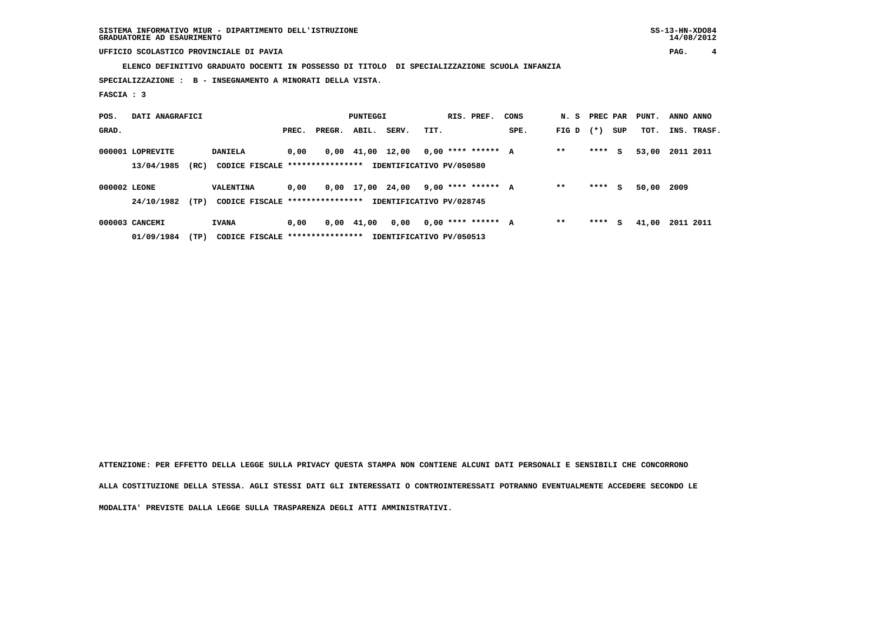**SISTEMA INFORMATIVO MIUR - DIPARTIMENTO DELL'ISTRUZIONE SS-13-HN-XDO84 GRADUATORIE AD ESAURIMENTO 14/08/2012**

# **UFFICIO SCOLASTICO PROVINCIALE DI PAVIA PAG. 4**

 **ELENCO DEFINITIVO GRADUATO DOCENTI IN POSSESSO DI TITOLO DI SPECIALIZZAZIONE SCUOLA INFANZIA**

 **SPECIALIZZAZIONE : B - INSEGNAMENTO A MINORATI DELLA VISTA.**

 **FASCIA : 3**

| POS.         | DATI ANAGRAFICI  |      |                                  |       |        | PUNTEGGI       |                          |      | RIS. PREF.           | CONS | N. S  | PREC PAR |     | PUNT. | ANNO ANNO |             |
|--------------|------------------|------|----------------------------------|-------|--------|----------------|--------------------------|------|----------------------|------|-------|----------|-----|-------|-----------|-------------|
| GRAD.        |                  |      |                                  | PREC. | PREGR. | ABIL.          | SERV.                    | TIT. |                      | SPE. | FIG D | $(* )$   | SUP | TOT.  |           | INS. TRASF. |
|              | 000001 LOPREVITE |      | <b>DANIELA</b>                   | 0.00  |        | $0,00$ $41,00$ | 12,00                    |      | $0.00$ **** ****** A |      | $**$  | ****     | s   | 53,00 | 2011 2011 |             |
|              | 13/04/1985       | (RC) | CODICE FISCALE ***************** |       |        |                | IDENTIFICATIVO PV/050580 |      |                      |      |       |          |     |       |           |             |
| 000002 LEONE |                  |      | VALENTINA                        | 0.00  |        | 0,00 17,00     | 24,00                    |      | 9,00 **** ****** A   |      | $**$  | ****     | s   | 50,00 | 2009      |             |
|              | 24/10/1982       | (TP) | CODICE FISCALE ****************  |       |        |                | IDENTIFICATIVO PV/028745 |      |                      |      |       |          |     |       |           |             |
|              | 000003 CANCEMI   |      | <b>IVANA</b>                     | 0.00  |        | $0,00$ $41,00$ | 0,00                     |      | $0,00$ **** ****** A |      | $**$  | ****     | s   | 41,00 | 2011 2011 |             |
|              | 01/09/1984       | (TP) | CODICE FISCALE ***************** |       |        |                | IDENTIFICATIVO PV/050513 |      |                      |      |       |          |     |       |           |             |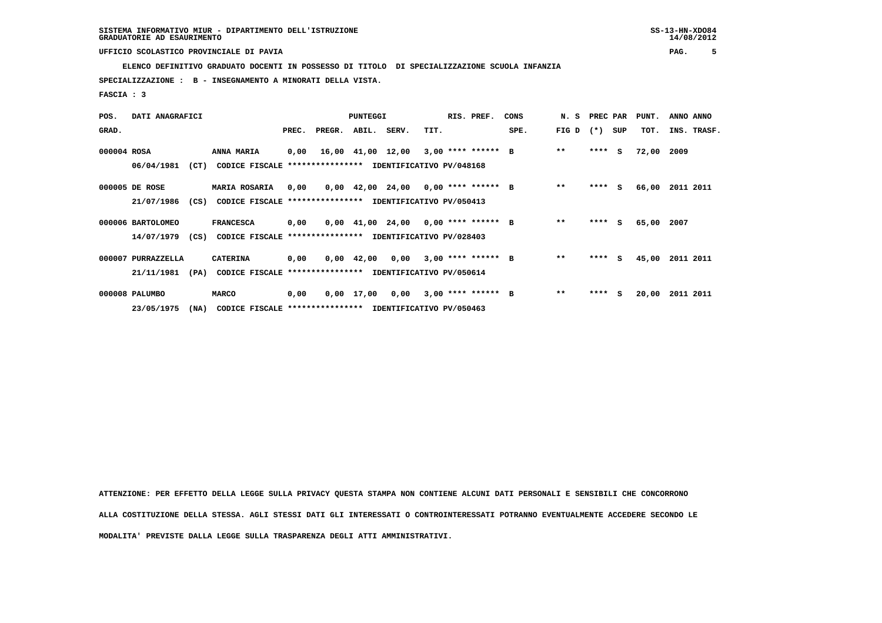# **UFFICIO SCOLASTICO PROVINCIALE DI PAVIA PAG. 5**

 **ELENCO DEFINITIVO GRADUATO DOCENTI IN POSSESSO DI TITOLO DI SPECIALIZZAZIONE SCUOLA INFANZIA**

 **SPECIALIZZAZIONE : B - INSEGNAMENTO A MINORATI DELLA VISTA.**

 **FASCIA : 3**

| POS.        | DATI ANAGRAFICI    |      |                                                               |       |                                                    | <b>PUNTEGGI</b> |                                                                       |      | RIS. PREF. | CONS |       |         |     | N. S PREC PAR PUNT. | ANNO ANNO   |
|-------------|--------------------|------|---------------------------------------------------------------|-------|----------------------------------------------------|-----------------|-----------------------------------------------------------------------|------|------------|------|-------|---------|-----|---------------------|-------------|
| GRAD.       |                    |      |                                                               | PREC. | PREGR.                                             | ABIL.           | SERV.                                                                 | TIT. |            | SPE. | FIG D | $(* )$  | SUP | TOT.                | INS. TRASF. |
| 000004 ROSA |                    |      | ANNA MARIA                                                    | 0,00  |                                                    |                 | 16,00 41,00 12,00 3,00 **** ****** B                                  |      |            |      | $***$ | $***$ S |     | 72,00               | 2009        |
|             | 06/04/1981         | (CT) | CODICE FISCALE                                                |       | *************** IDENTIFICATIVO PV/048168           |                 |                                                                       |      |            |      |       |         |     |                     |             |
|             | 000005 DE ROSE     |      | MARIA ROSARIA                                                 |       | $0,00$ $0,00$ $42,00$ $24,00$ $0,00$ **** ****** B |                 |                                                                       |      |            |      | $***$ | ****    | S.  | 66,00               | 2011 2011   |
|             | 21/07/1986         | (CS) | CODICE FISCALE **************** IDENTIFICATIVO PV/050413      |       |                                                    |                 |                                                                       |      |            |      |       |         |     |                     |             |
|             | 000006 BARTOLOMEO  |      | <b>FRANCESCA</b>                                              | 0,00  |                                                    |                 | $0.00 \quad 41.00 \quad 24.00 \quad 0.00 \quad *** \quad *** \quad B$ |      |            |      | $* *$ | $***$ S |     | 65,00               | 2007        |
|             |                    |      | 14/07/1979 (CS) CODICE FISCALE                                |       | *************** IDENTIFICATIVO PV/028403           |                 |                                                                       |      |            |      |       |         |     |                     |             |
|             | 000007 PURRAZZELLA |      | <b>CATERINA</b>                                               | 0,00  |                                                    |                 | $0,00$ 42,00 0,00 3,00 **** ****** B                                  |      |            |      | $* *$ | ****    | s   | 45,00               | 2011 2011   |
|             | 21/11/1981         | (PA) | CODICE FISCALE **************** IDENTIFICATIVO PV/050614      |       |                                                    |                 |                                                                       |      |            |      |       |         |     |                     |             |
|             | 000008 PALUMBO     |      | <b>MARCO</b>                                                  | 0,00  |                                                    |                 | $0,00$ 17,00 0,00 3,00 **** ****** B                                  |      |            |      | $**$  | $***$ S |     | 20,00               | 2011 2011   |
|             | 23/05/1975         |      | (NA) CODICE FISCALE **************** IDENTIFICATIVO PV/050463 |       |                                                    |                 |                                                                       |      |            |      |       |         |     |                     |             |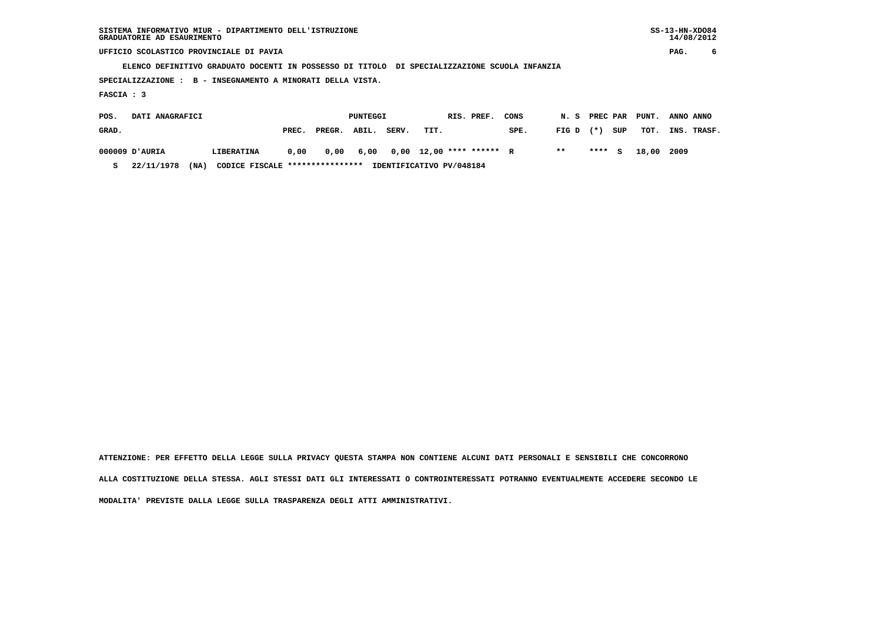| SISTEMA INFORMATIVO MIUR - DIPARTIMENTO DELL'ISTRUZIONE<br>GRADUATORIE AD ESAURIMENTO        |                                          |       |        |          |       |      |                   |      |       |          |     |       | $SS-13-HN-XDO84$<br>14/08/2012 |             |
|----------------------------------------------------------------------------------------------|------------------------------------------|-------|--------|----------|-------|------|-------------------|------|-------|----------|-----|-------|--------------------------------|-------------|
| UFFICIO SCOLASTICO PROVINCIALE DI PAVIA                                                      |                                          |       |        |          |       |      |                   |      |       |          |     |       | PAG.                           | 6           |
| ELENCO DEFINITIVO GRADUATO DOCENTI IN POSSESSO DI TITOLO DI SPECIALIZZAZIONE SCUOLA INFANZIA |                                          |       |        |          |       |      |                   |      |       |          |     |       |                                |             |
| SPECIALIZZAZIONE :                                                                           | B - INSEGNAMENTO A MINORATI DELLA VISTA. |       |        |          |       |      |                   |      |       |          |     |       |                                |             |
| FASCIA : 3                                                                                   |                                          |       |        |          |       |      |                   |      |       |          |     |       |                                |             |
| DATI ANAGRAFICI<br>POS.                                                                      |                                          |       |        | PUNTEGGI |       |      | RIS. PREF.        | CONS | N.S   | PREC PAR |     | PUNT. | ANNO ANNO                      |             |
| GRAD.                                                                                        |                                          | PREC. | PREGR. | ABIL.    | SERV. | TIT. |                   | SPE. | FIG D | $(*)$    | SUP | TOT.  |                                | INS. TRASF. |
| AURIA וכ 000009                                                                              | LIBERATINA                               | 0,00  | 0,00   | 6,00     | 0,00  |      | 12,00 **** ****** | R    | $* *$ | ****     | s   | 18,00 | 2009                           |             |

 **S 22/11/1978 (NA) CODICE FISCALE \*\*\*\*\*\*\*\*\*\*\*\*\*\*\*\* IDENTIFICATIVO PV/048184**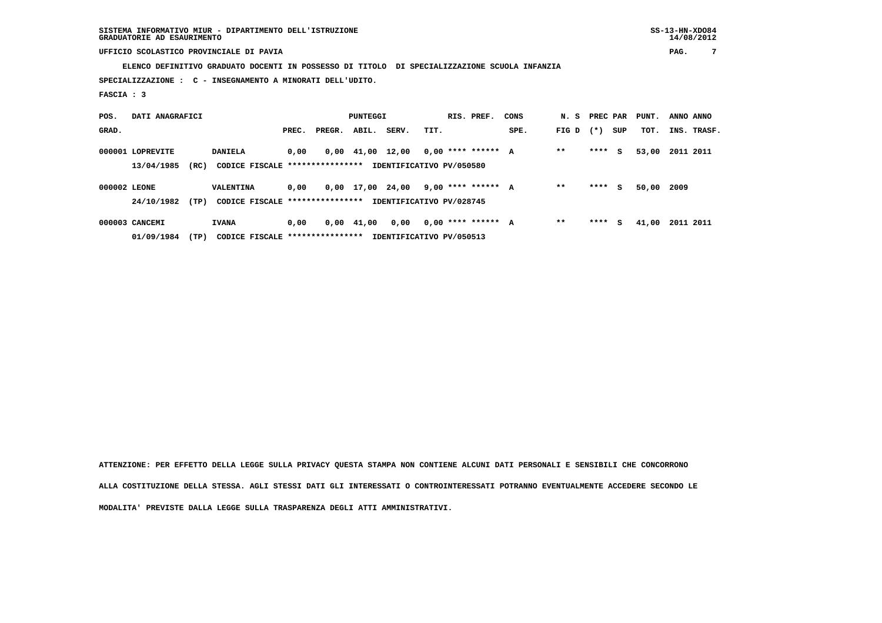**SISTEMA INFORMATIVO MIUR - DIPARTIMENTO DELL'ISTRUZIONE SS-13-HN-XDO84 GRADUATORIE AD ESAURIMENTO 14/08/2012**

# **UFFICIO SCOLASTICO PROVINCIALE DI PAVIA PAG. 7**

 **ELENCO DEFINITIVO GRADUATO DOCENTI IN POSSESSO DI TITOLO DI SPECIALIZZAZIONE SCUOLA INFANZIA**

 **SPECIALIZZAZIONE : C - INSEGNAMENTO A MINORATI DELL'UDITO.**

 **FASCIA : 3**

| POS.         | DATI ANAGRAFICI  |      |                                  |       |        | PUNTEGGI       |                          |      | RIS. PREF.           | CONS | N. S  | PREC PAR |     | PUNT. | ANNO ANNO |             |
|--------------|------------------|------|----------------------------------|-------|--------|----------------|--------------------------|------|----------------------|------|-------|----------|-----|-------|-----------|-------------|
| GRAD.        |                  |      |                                  | PREC. | PREGR. | ABIL.          | SERV.                    | TIT. |                      | SPE. | FIG D | $(* )$   | SUP | TOT.  |           | INS. TRASF. |
|              | 000001 LOPREVITE |      | <b>DANIELA</b>                   | 0.00  |        | $0,00$ $41,00$ | 12,00                    |      | $0.00$ **** ****** A |      | $**$  | ****     | s   | 53,00 | 2011 2011 |             |
|              | 13/04/1985       | (RC) | CODICE FISCALE ***************** |       |        |                | IDENTIFICATIVO PV/050580 |      |                      |      |       |          |     |       |           |             |
| 000002 LEONE |                  |      | VALENTINA                        | 0.00  |        | 0,00 17,00     | 24,00                    |      | 9,00 **** ****** A   |      | $**$  | ****     | s   | 50,00 | 2009      |             |
|              | 24/10/1982       | (TP) | CODICE FISCALE ****************  |       |        |                | IDENTIFICATIVO PV/028745 |      |                      |      |       |          |     |       |           |             |
|              | 000003 CANCEMI   |      | <b>IVANA</b>                     | 0.00  |        | $0,00$ $41,00$ | 0,00                     |      | $0,00$ **** ****** A |      | $**$  | ****     | s   | 41,00 | 2011 2011 |             |
|              | 01/09/1984       | (TP) | CODICE FISCALE ***************** |       |        |                | IDENTIFICATIVO PV/050513 |      |                      |      |       |          |     |       |           |             |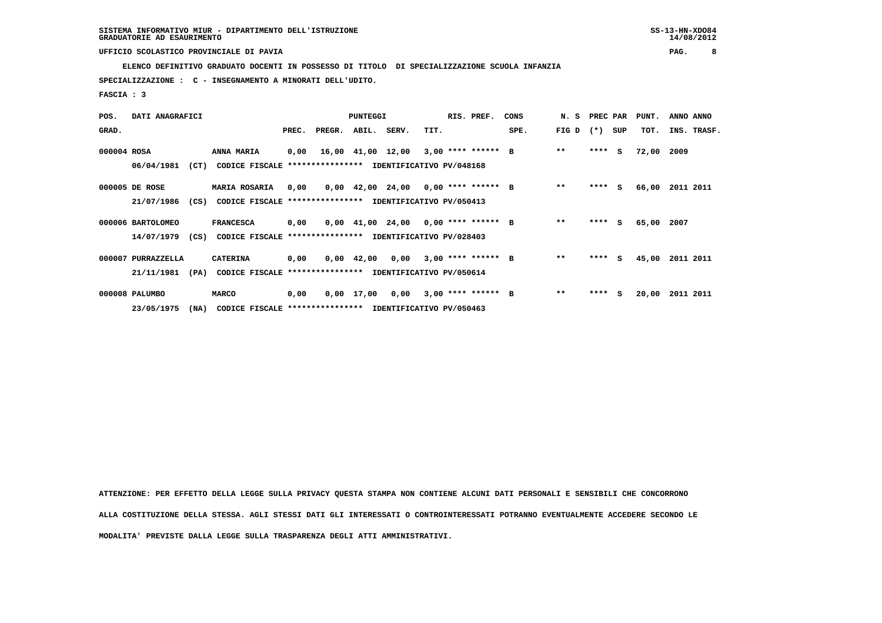### **UFFICIO SCOLASTICO PROVINCIALE DI PAVIA PAG. 8**

 **ELENCO DEFINITIVO GRADUATO DOCENTI IN POSSESSO DI TITOLO DI SPECIALIZZAZIONE SCUOLA INFANZIA**

 **SPECIALIZZAZIONE : C - INSEGNAMENTO A MINORATI DELL'UDITO.**

 **FASCIA : 3**

| POS.        | DATI ANAGRAFICI    |      |                                                               |       |              | <b>PUNTEGGI</b> |                                                                       |      | RIS. PREF.           | CONS | N. S PREC PAR |         |     | PUNT. | ANNO ANNO   |  |
|-------------|--------------------|------|---------------------------------------------------------------|-------|--------------|-----------------|-----------------------------------------------------------------------|------|----------------------|------|---------------|---------|-----|-------|-------------|--|
| GRAD.       |                    |      |                                                               | PREC. | PREGR. ABIL. |                 | SERV.                                                                 | TIT. |                      | SPE. | FIG D         | $(*)$   | SUP | TOT.  | INS. TRASF. |  |
| 000004 ROSA |                    |      | ANNA MARIA                                                    | 0,00  |              |                 | 16,00 41,00 12,00 3,00 **** ****** B                                  |      |                      |      | $***$         | $***$ S |     | 72,00 | 2009        |  |
|             | 06/04/1981         | (CT) | CODICE FISCALE **************** IDENTIFICATIVO PV/048168      |       |              |                 |                                                                       |      |                      |      |               |         |     |       |             |  |
|             | 000005 DE ROSE     |      | <b>MARIA ROSARIA</b>                                          | 0,00  |              |                 | $0,00$ 42,00 24,00 0,00 **** ****** B                                 |      |                      |      | $* *$         | $***$ S |     | 66,00 | 2011 2011   |  |
|             | 21/07/1986         | (CS) | CODICE FISCALE **************** IDENTIFICATIVO PV/050413      |       |              |                 |                                                                       |      |                      |      |               |         |     |       |             |  |
|             | 000006 BARTOLOMEO  |      | <b>FRANCESCA</b>                                              | 0,00  |              |                 | $0.00 \quad 41.00 \quad 24.00 \quad 0.00 \quad *** \quad *** \quad B$ |      |                      |      | $* *$         | $***$ S |     | 65,00 | 2007        |  |
|             | 14/07/1979         |      | (CS) CODICE FISCALE **************** IDENTIFICATIVO PV/028403 |       |              |                 |                                                                       |      |                      |      |               |         |     |       |             |  |
|             | 000007 PURRAZZELLA |      | <b>CATERINA</b>                                               | 0,00  |              | 0,00 42,00      | 0,00                                                                  |      | $3,00$ **** ****** B |      | $**$          | $***$ S |     | 45,00 | 2011 2011   |  |
|             | 21/11/1981         | (PA) | CODICE FISCALE **************** IDENTIFICATIVO PV/050614      |       |              |                 |                                                                       |      |                      |      |               |         |     |       |             |  |
|             | 000008 PALUMBO     |      | <b>MARCO</b>                                                  | 0,00  |              |                 | 0,00 17,00 0,00                                                       |      | $3,00$ **** ****** B |      | $**$          | **** S  |     | 20,00 | 2011 2011   |  |
|             | 23/05/1975         | (NA) | CODICE FISCALE **************** IDENTIFICATIVO PV/050463      |       |              |                 |                                                                       |      |                      |      |               |         |     |       |             |  |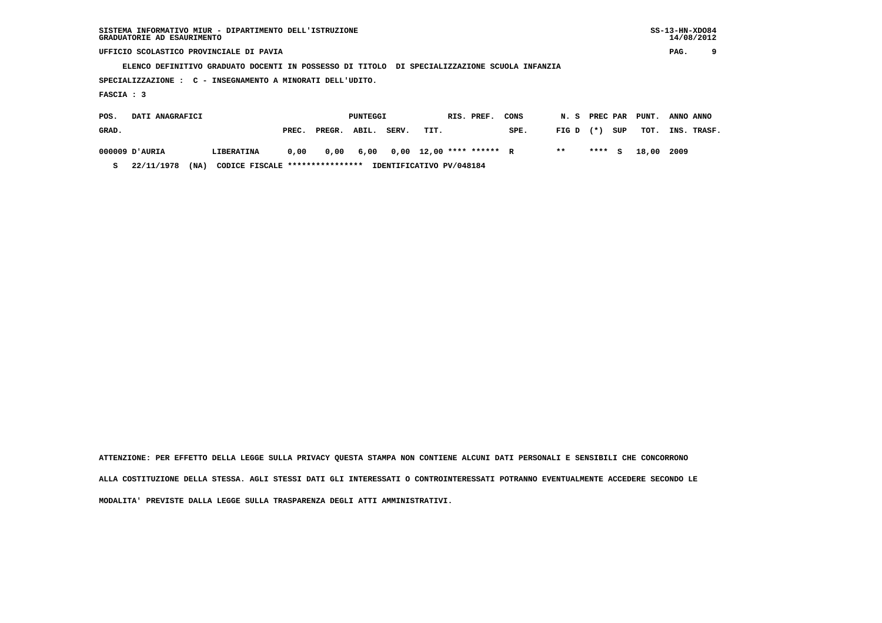| SISTEMA INFORMATIVO MIUR - DIPARTIMENTO DELL'ISTRUZIONE | $SS-13-HN-XDO84$ |
|---------------------------------------------------------|------------------|
| GRADUATORIE AD ESAURIMENTO                              | 14/08/2012       |

 $SS-13-HN-XDO84$  $14/08/2012$ 

 **UFFICIO SCOLASTICO PROVINCIALE DI PAVIA PAG. 9**

 **ELENCO DEFINITIVO GRADUATO DOCENTI IN POSSESSO DI TITOLO DI SPECIALIZZAZIONE SCUOLA INFANZIA**

 **SPECIALIZZAZIONE : C - INSEGNAMENTO A MINORATI DELL'UDITO.**

 **FASCIA : 3**

| POS.  | DATI ANAGRAFICI |      |                                 |       |        | PUNTEGGI |       |                                    | RIS. PREF. | CONS |             |        |     | N. S PREC PAR PUNT. | ANNO ANNO   |
|-------|-----------------|------|---------------------------------|-------|--------|----------|-------|------------------------------------|------------|------|-------------|--------|-----|---------------------|-------------|
| GRAD. |                 |      |                                 | PREC. | PREGR. | ABIL.    | SERV. | TIT.                               |            | SPE. | $FIG D (*)$ |        | SUP | тот.                | INS. TRASF. |
|       | AURIA וD'AURIA  |      | LIBERATINA                      | 0.00  | 0.00   |          |       | 6,00  0,00  12,00  ****  ******  R |            |      | $***$       | **** S |     | 18,00 2009          |             |
|       | 22/11/1978      | (NA) | CODICE FISCALE **************** |       |        |          |       | IDENTIFICATIVO PV/048184           |            |      |             |        |     |                     |             |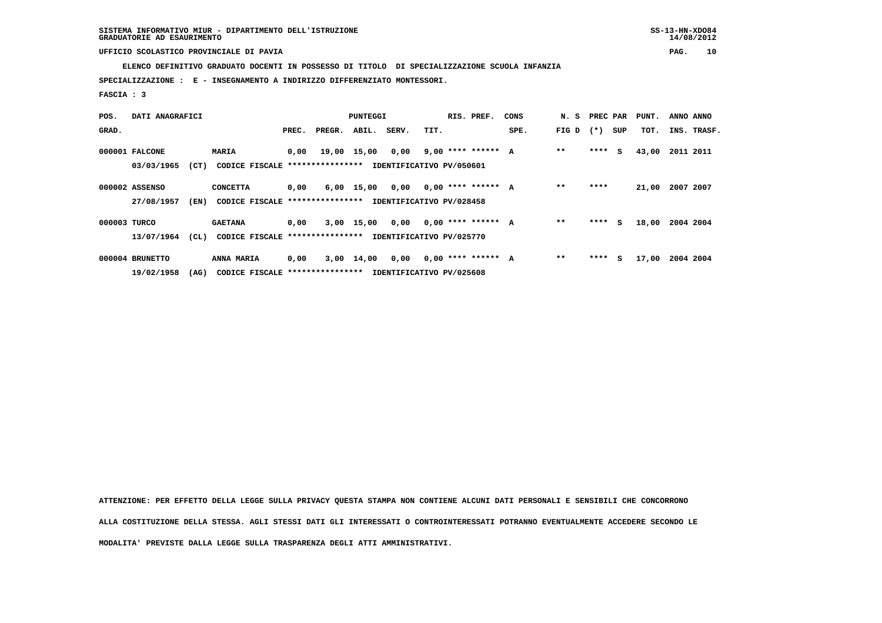**ELENCO DEFINITIVO GRADUATO DOCENTI IN POSSESSO DI TITOLO DI SPECIALIZZAZIONE SCUOLA INFANZIA**

 **SPECIALIZZAZIONE : E - INSEGNAMENTO A INDIRIZZO DIFFERENZIATO MONTESSORI.**

 **FASCIA : 3**

| POS.         | DATI ANAGRAFICI |      |                                                          |       |        | PUNTEGGI     |       |                          | RIS. PREF.           | CONS | N. S  | PREC PAR |     | PUNT. | ANNO ANNO |             |
|--------------|-----------------|------|----------------------------------------------------------|-------|--------|--------------|-------|--------------------------|----------------------|------|-------|----------|-----|-------|-----------|-------------|
| GRAD.        |                 |      |                                                          | PREC. | PREGR. | ABIL.        | SERV. | TIT.                     |                      | SPE. | FIG D | $(* )$   | SUP | тот.  |           | INS. TRASF. |
|              | 000001 FALCONE  |      | <b>MARIA</b>                                             | 0,00  |        | 19,00 15,00  | 0,00  |                          | $9,00$ **** ****** A |      | $* *$ | **** S   |     | 43,00 | 2011 2011 |             |
|              | 03/03/1965      | (CT) | CODICE FISCALE **************** IDENTIFICATIVO PV/050601 |       |        |              |       |                          |                      |      |       |          |     |       |           |             |
|              | 000002 ASSENSO  |      | <b>CONCETTA</b>                                          | 0,00  |        | $6,00$ 15,00 | 0,00  |                          | $0,00$ **** ****** A |      | $* *$ | ****     |     | 21,00 | 2007 2007 |             |
|              | 27/08/1957      | (EN) | CODICE FISCALE *****************                         |       |        |              |       | IDENTIFICATIVO PV/028458 |                      |      |       |          |     |       |           |             |
| 000003 TURCO |                 |      | <b>GAETANA</b>                                           | 0,00  |        | 3,00 15,00   | 0,00  |                          | $0.00$ **** ****** A |      | $* *$ | ****     | s   | 18,00 | 2004 2004 |             |
|              | 13/07/1964      | (CL) | CODICE FISCALE **************** IDENTIFICATIVO PV/025770 |       |        |              |       |                          |                      |      |       |          |     |       |           |             |
|              | 000004 BRUNETTO |      | <b>ANNA MARIA</b>                                        | 0,00  |        | 3,00 14,00   | 0,00  |                          | $0,00$ **** ****** A |      | $* *$ | ****     | s   | 17,00 | 2004 2004 |             |
|              | 19/02/1958      | (AG) | CODICE FISCALE *****************                         |       |        |              |       | IDENTIFICATIVO PV/025608 |                      |      |       |          |     |       |           |             |

 **ATTENZIONE: PER EFFETTO DELLA LEGGE SULLA PRIVACY QUESTA STAMPA NON CONTIENE ALCUNI DATI PERSONALI E SENSIBILI CHE CONCORRONO**

 **ALLA COSTITUZIONE DELLA STESSA. AGLI STESSI DATI GLI INTERESSATI O CONTROINTERESSATI POTRANNO EVENTUALMENTE ACCEDERE SECONDO LE**

 **MODALITA' PREVISTE DALLA LEGGE SULLA TRASPARENZA DEGLI ATTI AMMINISTRATIVI.**